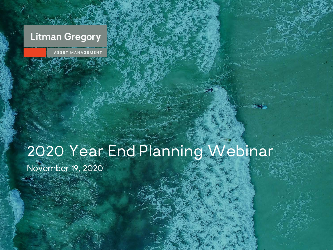# **Litman Gregory**

ASSET MANAGEMEN'

# 2020 Year End Planning Webinar

November 19, 2020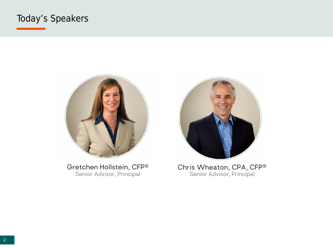#### Today's Speakers



Gretchen Hollstein, CFP® Senior Advisor, Principal



Chris Wheaton, CPA, CFP® Senior Advisor, Principal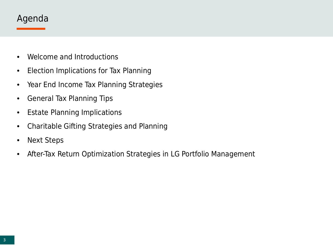#### Agenda

- Welcome and Introductions
- Election Implications for Tax Planning
- Year End Income Tax Planning Strategies
- General Tax Planning Tips
- Estate Planning Implications
- Charitable Gifting Strategies and Planning
- Next Steps
- After-Tax Return Optimization Strategies in LG Portfolio Management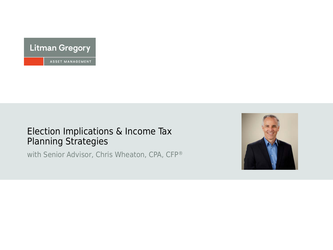

#### Election Implications & Income Tax Planning Strategies

with Senior Advisor, Chris Wheaton, CPA, CFP®

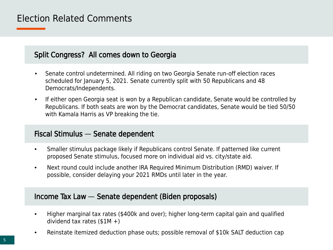#### Election Related Comments

#### Split Congress? All comes down to Georgia

- Senate control undetermined. All riding on two Georgia Senate run-off election races scheduled for January 5, 2021. Senate currently split with 50 Republicans and 48 Democrats/Independents.
- If either open Georgia seat is won by a Republican candidate, Senate would be controlled by Republicans. If both seats are won by the Democrat candidates, Senate would be tied 50/50 with Kamala Harris as VP breaking the tie.

#### Fiscal Stimulus — Senate dependent

- Smaller stimulus package likely if Republicans control Senate. If patterned like current proposed Senate stimulus, focused more on individual aid vs. city/state aid.
- Next round could include another IRA Required Minimum Distribution (RMD) waiver. If possible, consider delaying your 2021 RMDs until later in the year.

#### Income Tax Law — Senate dependent (Biden proposals)

- Higher marginal tax rates (\$400k and over); higher long-term capital gain and qualified dividend tax rates  $($1M +)$
- Reinstate itemized deduction phase outs; possible removal of \$10k SALT deduction cap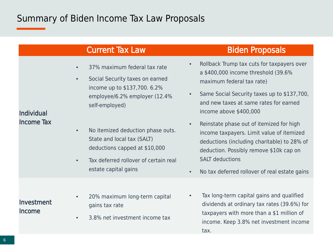# Summary of Biden Income Tax Law Proposals

|                                        | <b>Current Tax Law</b>                                                                                                                                                                                                                                                                        | <b>Biden Proposals</b>                                                                                                                                                                                                                                                                                                                                                                                                                         |
|----------------------------------------|-----------------------------------------------------------------------------------------------------------------------------------------------------------------------------------------------------------------------------------------------------------------------------------------------|------------------------------------------------------------------------------------------------------------------------------------------------------------------------------------------------------------------------------------------------------------------------------------------------------------------------------------------------------------------------------------------------------------------------------------------------|
| <b>Individual</b><br><b>Income Tax</b> | 37% maximum federal tax rate<br>$\bullet$<br>Social Security taxes on earned<br>$\bullet$<br>income up to \$137,700. 6.2%<br>employee/6.2% employer (12.4%<br>self-employed)<br>No itemized deduction phase outs.<br>$\bullet$<br>State and local tax (SALT)<br>deductions capped at \$10,000 | Rollback Trump tax cuts for taxpayers over<br>a \$400,000 income threshold (39.6%<br>maximum federal tax rate)<br>Same Social Security taxes up to \$137,700,<br>$\bullet$<br>and new taxes at same rates for earned<br>income above \$400,000<br>Reinstate phase out of itemized for high<br>$\bullet$<br>income taxpayers. Limit value of itemized<br>deductions (including charitable) to 28% of<br>deduction. Possibly remove \$10k cap on |
|                                        | Tax deferred rollover of certain real<br>$\bullet$<br>estate capital gains                                                                                                                                                                                                                    | <b>SALT</b> deductions<br>No tax deferred rollover of real estate gains                                                                                                                                                                                                                                                                                                                                                                        |
| Investment<br>Income                   | 20% maximum long-term capital<br>$\bullet$<br>gains tax rate<br>3.8% net investment income tax<br>$\bullet$                                                                                                                                                                                   | Tax long-term capital gains and qualified<br>$\bullet$<br>dividends at ordinary tax rates (39.6%) for<br>taxpayers with more than a \$1 million of<br>income. Keep 3.8% net investment income<br>tax.                                                                                                                                                                                                                                          |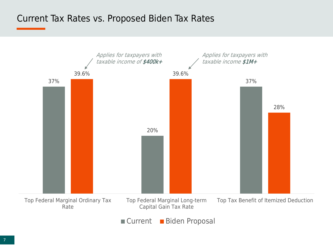#### Current Tax Rates vs. Proposed Biden Tax Rates



Current Biden Proposal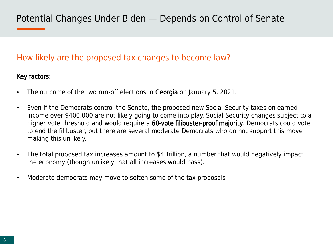#### How likely are the proposed tax changes to become law?

#### Key factors:

- The outcome of the two run-off elections in Georgia on January 5, 2021.
- Even if the Democrats control the Senate, the proposed new Social Security taxes on earned income over \$400,000 are not likely going to come into play. Social Security changes subject to a higher vote threshold and would require a 60-vote filibuster-proof majority. Democrats could vote to end the filibuster, but there are several moderate Democrats who do not support this move making this unlikely.
- The total proposed tax increases amount to \$4 Trillion, a number that would negatively impact the economy (though unlikely that all increases would pass).
- Moderate democrats may move to soften some of the tax proposals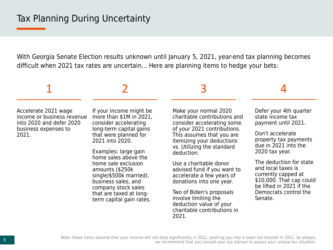With Georgia Senate Election results unknown until January 5, 2021, year-end tax planning becomes difficult when 2021 tax rates are uncertain... Here are planning items to hedge your bets:

# 1 2 3 4

Accelerate 2021 wage income or business revenue into 2020 and defer 2020 business expenses to 2021.

If your income might be more than \$1M in 2021, consider accelerating long-term capital gains that were planned for 2021 into 2020.

Examples: large gain home sales above the home sale exclusion amounts (\$250k single/\$500k married), business sales, and company stock sales that are taxed at longterm capital gain rates.

Make your normal 2020 charitable contributions and consider accelerating some of your 2021 contributions. This assumes that you are itemizing your deductions vs. Utilizing the standard deduction.

Use a charitable donor advised fund if you want to accelerate a few years of donations into one year.

Two of Biden's proposals involve limiting the deduction value of your charitable contributions in 2021.

Defer your 4th quarter state income tax payment until 2021.

Don't accelerate property tax payments due in 2021 into the 2020 tax year.

The deduction for state and local taxes is currently capped at \$10,000. That cap could be lifted in 2021 if the Democrats control the Senate.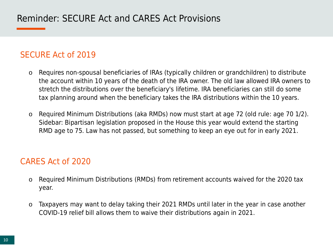#### SECURE Act of 2019

- o Requires non-spousal beneficiaries of IRAs (typically children or grandchildren) to distribute the account within 10 years of the death of the IRA owner. The old law allowed IRA owners to stretch the distributions over the beneficiary's lifetime. IRA beneficiaries can still do some tax planning around when the beneficiary takes the IRA distributions within the 10 years.
- o Required Minimum Distributions (aka RMDs) now must start at age 72 (old rule: age 70 1/2). Sidebar: Bipartisan legislation proposed in the House this year would extend the starting RMD age to 75. Law has not passed, but something to keep an eye out for in early 2021.

#### CARES Act of 2020

- o Required Minimum Distributions (RMDs) from retirement accounts waived for the 2020 tax year.
- o Taxpayers may want to delay taking their 2021 RMDs until later in the year in case another COVID-19 relief bill allows them to waive their distributions again in 2021.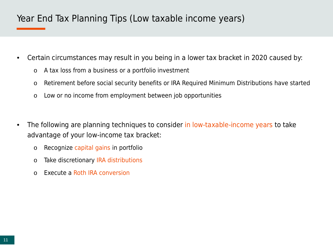### Year End Tax Planning Tips (Low taxable income years)

- Certain circumstances may result in you being in a lower tax bracket in 2020 caused by:
	- o A tax loss from a business or a portfolio investment
	- o Retirement before social security benefits or IRA Required Minimum Distributions have started
	- o Low or no income from employment between job opportunities
- The following are planning techniques to consider in low-taxable-income years to take advantage of your low-income tax bracket:
	- o Recognize capital gains in portfolio
	- o Take discretionary IRA distributions
	- o Execute a Roth IRA conversion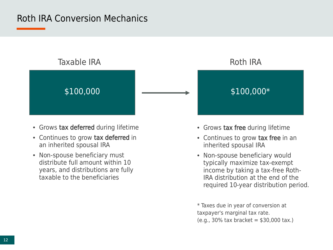#### Roth IRA Conversion Mechanics



- Grows tax deferred during lifetime
- Continues to grow tax deferred in an inherited spousal IRA
- Non-spouse beneficiary must distribute full amount within 10 years, and distributions are fully taxable to the beneficiaries



- Grows tax free during lifetime
- Continues to grow tax free in an inherited spousal IRA
- Non-spouse beneficiary would typically maximize tax-exempt income by taking a tax-free Roth-IRA distribution at the end of the required 10-year distribution period.

\* Taxes due in year of conversion at taxpayer's marginal tax rate.  $(e.g., 30\%$  tax bracket = \$30,000 tax.)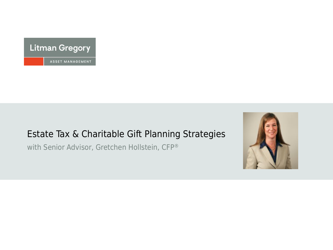

#### Estate Tax & Charitable Gift Planning Strategies

with Senior Advisor, Gretchen Hollstein, CFP®

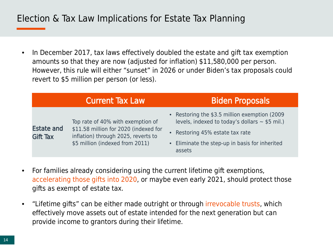### Election & Tax Law Implications for Estate Tax Planning

• In December 2017, tax laws effectively doubled the estate and gift tax exemption amounts so that they are now (adjusted for inflation) \$11,580,000 per person. However, this rule will either "sunset" in 2026 or under Biden's tax proposals could revert to \$5 million per person (or less).

|                                      | <b>Current Tax Law</b>                                                                                                                               | <b>Biden Proposals</b>                                                                                                                                                                               |
|--------------------------------------|------------------------------------------------------------------------------------------------------------------------------------------------------|------------------------------------------------------------------------------------------------------------------------------------------------------------------------------------------------------|
| <b>Estate and</b><br><b>Gift Tax</b> | Top rate of 40% with exemption of<br>\$11.58 million for 2020 (indexed for<br>inflation) through 2025, reverts to<br>\$5 million (indexed from 2011) | • Restoring the \$3.5 million exemption (2009)<br>levels, indexed to today's dollars $\sim$ \$5 mil.)<br>• Restoring 45% estate tax rate<br>• Eliminate the step-up in basis for inherited<br>assets |

- For families already considering using the current lifetime gift exemptions, accelerating those gifts into 2020, or maybe even early 2021, should protect those gifts as exempt of estate tax.
- "Lifetime gifts" can be either made outright or through irrevocable trusts, which effectively move assets out of estate intended for the next generation but can provide income to grantors during their lifetime.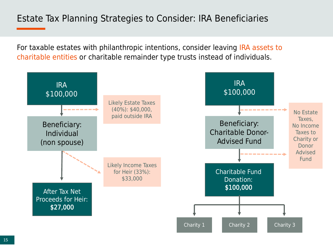### Estate Tax Planning Strategies to Consider: IRA Beneficiaries

For taxable estates with philanthropic intentions, consider leaving IRA assets to charitable entities or charitable remainder type trusts instead of individuals.

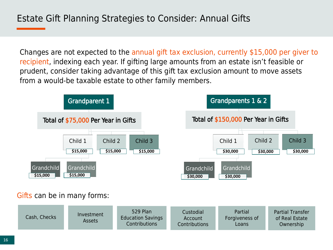Changes are not expected to the annual gift tax exclusion, currently \$15,000 per giver to recipient, indexing each year. If gifting large amounts from an estate isn't feasible or prudent, consider taking advantage of this gift tax exclusion amount to move assets from a would-be taxable estate to other family members.

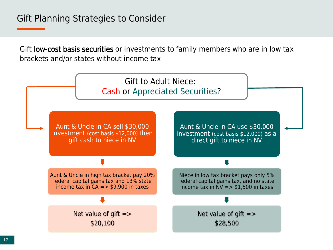Gift low-cost basis securities or investments to family members who are in low tax brackets and/or states without income tax

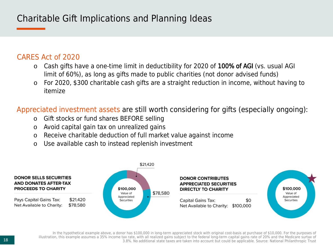# Charitable Gift Implications and Planning Ideas

#### CARES Act of 2020

- o Cash gifts have a one-time limit in deductibility for 2020 of 100% of AGI (vs. usual AGI limit of 60%), as long as gifts made to public charities (not donor advised funds)
- o For 2020, \$300 charitable cash gifts are a straight reduction in income, without having to itemize

Appreciated investment assets are still worth considering for gifts (especially ongoing):

- o Gift stocks or fund shares BEFORE selling
- o Avoid capital gain tax on unrealized gains
- o Receive charitable deduction of full market value against income
- o Use available cash to instead replenish investment



In the hypothetical example above, a donor has \$100,000 in long-term appreciated stock with original cost-basis at purchase of \$10,000. For the purposes of illustration, this example assumes a 35% income tax rate, with all realized gains subject to the federal long-term capital gains rate of 20% and the Medicare surtax of 3.8%. No additional state taxes are taken into account but could be applicable. Source: National Philanthropic Trust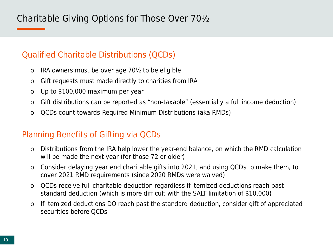# Charitable Giving Options for Those Over 70½

#### Qualified Charitable Distributions (QCDs)

- $\circ$  IRA owners must be over age 70½ to be eligible
- o Gift requests must made directly to charities from IRA
- o Up to \$100,000 maximum per year
- o Gift distributions can be reported as "non-taxable" (essentially a full income deduction)
- o QCDs count towards Required Minimum Distributions (aka RMDs)

#### Planning Benefits of Gifting via QCDs

- o Distributions from the IRA help lower the year-end balance, on which the RMD calculation will be made the next year (for those 72 or older)
- o Consider delaying year end charitable gifts into 2021, and using QCDs to make them, to cover 2021 RMD requirements (since 2020 RMDs were waived)
- o QCDs receive full charitable deduction regardless if itemized deductions reach past standard deduction (which is more difficult with the SALT limitation of \$10,000)
- o If itemized deductions DO reach past the standard deduction, consider gift of appreciated securities before QCDs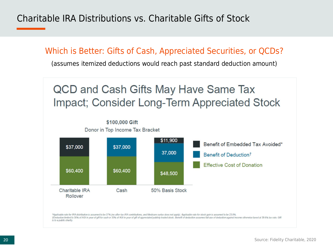Charitable IRA Distributions vs. Charitable Gifts of Stock

Which is Better: Gifts of Cash, Appreciated Securities, or QCDs?

(assumes itemized deductions would reach past standard deduction amount)

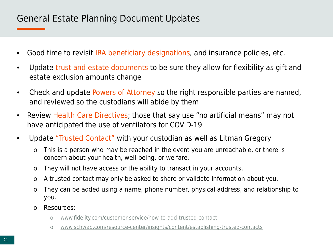#### General Estate Planning Document Updates

- Good time to revisit IRA beneficiary designations, and insurance policies, etc.
- Update trust and estate documents to be sure they allow for flexibility as gift and estate exclusion amounts change
- Check and update Powers of Attorney so the right responsible parties are named, and reviewed so the custodians will abide by them
- Review Health Care Directives; those that say use "no artificial means" may not have anticipated the use of ventilators for COVID-19
- Update "Trusted Contact" with your custodian as well as Litman Gregory
	- o This is a person who may be reached in the event you are unreachable, or there is concern about your health, well-being, or welfare.
	- o They will not have access or the ability to transact in your accounts.
	- o A trusted contact may only be asked to share or validate information about you.
	- o They can be added using a name, phone number, physical address, and relationship to you.
	- o Resources:
		- o [www.fidelity.com/customer-service/how-to-add-trusted-contact](http://www.fidelity.com/customer-service/how-to-add-trusted-contact)
		- o [www.schwab.com/resource-center/insights/content/establishing-trusted-contacts](http://www.schwab.com/resource-center/insights/content/establishing-trusted-contacts)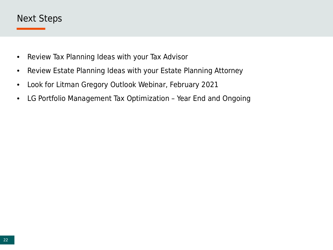#### Next Steps

- Review Tax Planning Ideas with your Tax Advisor
- Review Estate Planning Ideas with your Estate Planning Attorney
- Look for Litman Gregory Outlook Webinar, February 2021
- LG Portfolio Management Tax Optimization Year End and Ongoing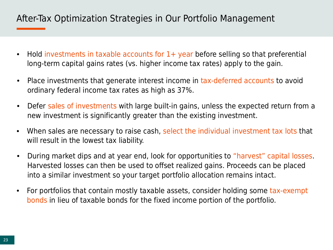### After-Tax Optimization Strategies in Our Portfolio Management

- Hold investments in taxable accounts for 1+ year before selling so that preferential long-term capital gains rates (vs. higher income tax rates) apply to the gain.
- Place investments that generate interest income in tax-deferred accounts to avoid ordinary federal income tax rates as high as 37%.
- Defer sales of investments with large built-in gains, unless the expected return from a new investment is significantly greater than the existing investment.
- When sales are necessary to raise cash, select the individual investment tax lots that will result in the lowest tax liability.
- During market dips and at year end, look for opportunities to "harvest" capital losses. Harvested losses can then be used to offset realized gains. Proceeds can be placed into a similar investment so your target portfolio allocation remains intact.
- For portfolios that contain mostly taxable assets, consider holding some tax-exempt bonds in lieu of taxable bonds for the fixed income portion of the portfolio.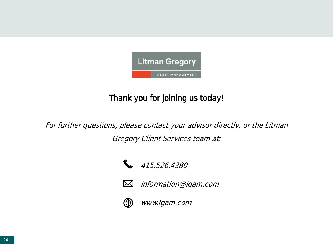

#### Thank you for joining us today!

For further questions, please contact your advisor directly, or the Litman Gregory Client Services team at:



415.526.4380



information@lgam.com



www.lgam.com